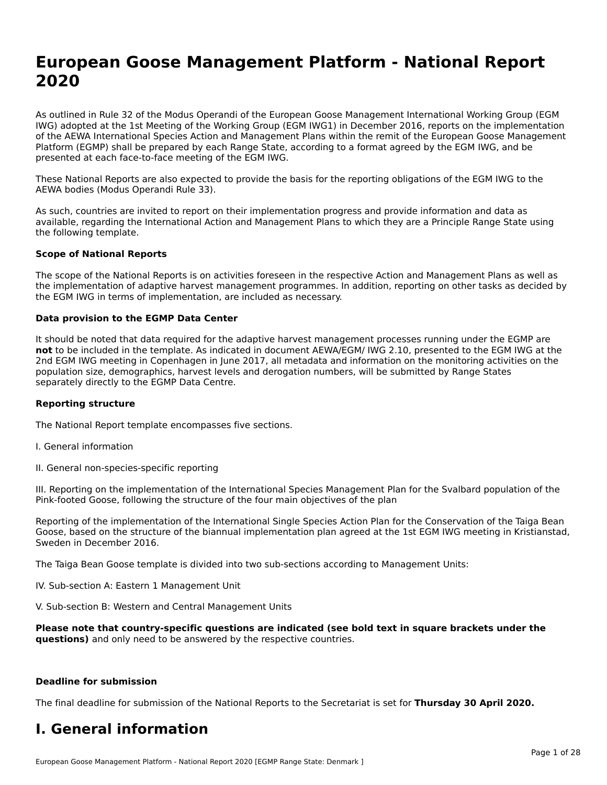## **European Goose Management Platform - National Report**European Goose Management Platform - National **Neport**<br>2020

As outlined in Rule 32 of the Modus Operandi of the European Goose Management International Working Group (EGM As buthled in Rule 32 of the Modus Operandi of the Lufopean Goose Management International Working Group (LGM<br>IWG) adopted at the 1st Meeting of the Working Group (EGM IWG1) in December 2016, reports on the implementation of the AEWA International Species Action and Management Plans within the remit of the European Goose Management Platform (EGMP) shall be prepared by each Range State, according to a format agreed by the EGM IWG, and be presented at each face-to-face meeting of the EGM IWG.

These National Reports are also expected to provide the basis for the reporting obligations of the EGM IWG to the AEWA bodies (Modus Operandi Rule 33).

As such, countries are invited to report on their implementation progress and provide information and data as<br>available, regarding the International Action and Management Plans to which they are a Principle Range State usi available, regarding the International Action and Management Plans to which they are a Principle Range State using the following template.

#### **Scope of National Reports**

The scope of the National Reports is on activities foreseen in the respective Action and Management Plans as well as The scope of the National Reports is on activities foreseen in the respective Action and Management Plans as well as<br>the implementation of adaptive harvest management programmes. In addition, reporting on other tasks as de the EGM IWG in terms of implementation, are included as necessary.

#### **Data provision to the EGMP Data Center**

It should be noted that data required for the adaptive harvest management processes running under the EGMP are **not** to be included in the template. As indicated in document AEWA/EGM/ IWG 2.10, presented to the EGM IWG at the 2nd EGM IWG meeting in Copenhagen in June 2017, all metadata and information on the monitoring activities on the population size, demographics, harvest levels and derogation numbers, will be submitted by Range States separately directly to the EGMP Data Centre.

#### **Reporting structure**

The National Report template encompasses five sections.

- I. General information
- II. General non-species-specific reporting

III. Reporting on the implementation of the International Species Management Plan for the Svalbard population of the

Reporting of the implementation of the International Single Species Action Plan for the Conservation of the Taiga Bean Reporting of the implementation of the international single species Action Fram for the conservation of the laiga beam<br>Goose, based on the structure of the biannual implementation plan agreed at the 1st EGM IWG meeting in

The Taiga Bean Goose template is divided into two sub-sections according to Management Units:

IV. Sub-section A: Eastern 1 Management Unit

V. Sub-section B: Western and Central Management Units

Please note that country-specific questions are indicated (see bold text in square brackets under the **questions)** and only need to be answered by the respective countries.

#### **Deadline for submission**

The final deadline for submission of the National Reports to the Secretariat is set for **Thursday 30 April 2020.**

#### **I. General information**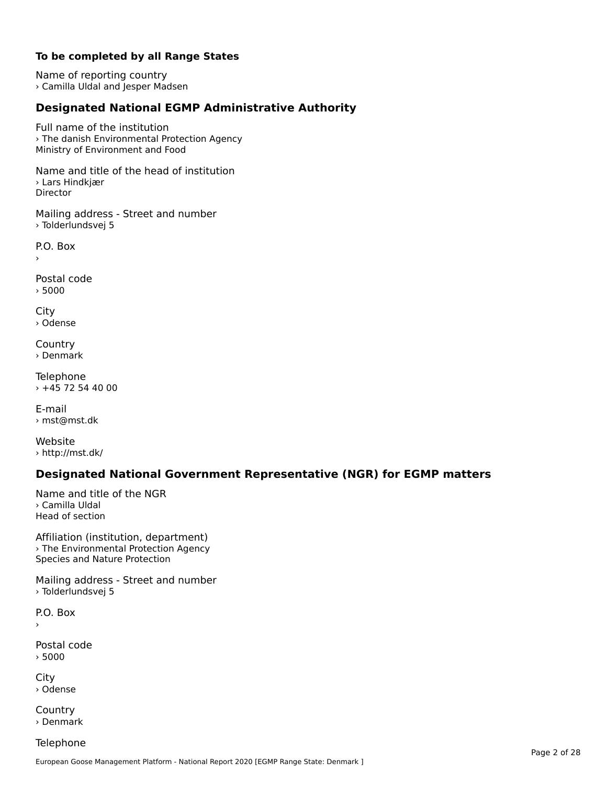#### **To be completed by all Range States**

Name of reporting country › Camilla Uldal and Jesper Madsen

## **Designated National EGMP Administrative Authority**

Full name of the institution› The danish Environmental Protection Agency *The damsit Environmental Frotet*<br>Ministry of Environment and Food

Name and title of the head of institution › Lars Hindkjær Director

Mailing address - Street and number › Tolderlundsvej 5

P.O. Box›

Postal code › 5000

City › Odense

**Country** › Denmark

Telephone  $+45$  72 54 40 00

E-mail› mst@mst.dk

Website › http://mst.dk/

### **Designated National Government Representative (NGR) for EGMP matters**

Name and title of the NGR› Camilla UldalHead of section

Affiliation (institution, department) › The Environmental Protection Agency *The Environmental Frotection*<br>Species and Nature Protection

Mailing address - Street and number › Tolderlundsvej 5

P.O. Box›

Postal code› 5000

City › Odense

**Country** › Denmark

**Telephone**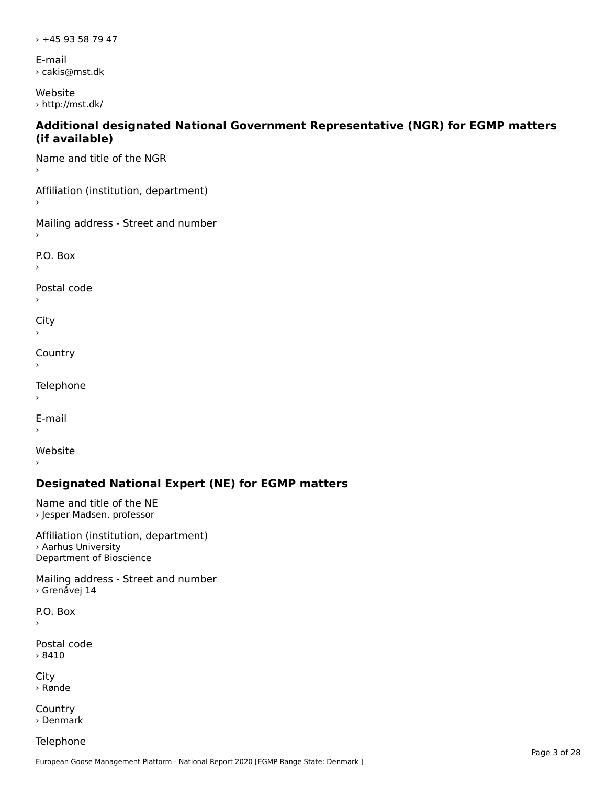› +45 93 58 79 47

E-mail › cakis@mst.dk

Website › http://mst.dk/

#### **Additional designated National Government Representative (NGR) for EGMP matters (if available)**

Name and title of the NGR

Affiliation (institution, department)

Mailing address - Street and number

P.O. Box

Postal code

 $\mathbf{C}^{\text{in}}$ 

›

**Country** 

**Telephone** 

 $\,$ 

E-mail›

Website

›

### **Designated National Expert (NE) for EGMP matters**

Name and title of the NE › Jesper Madsen. professor

Affiliation (institution, department)› Aarhus University *r* Admus University<br>Department of Bioscience

Mailing address - Street and number › Grenåvej 14

P.O. Box ›

Postal code› 8410

City › Rønde

**Country** › Denmark

Telephone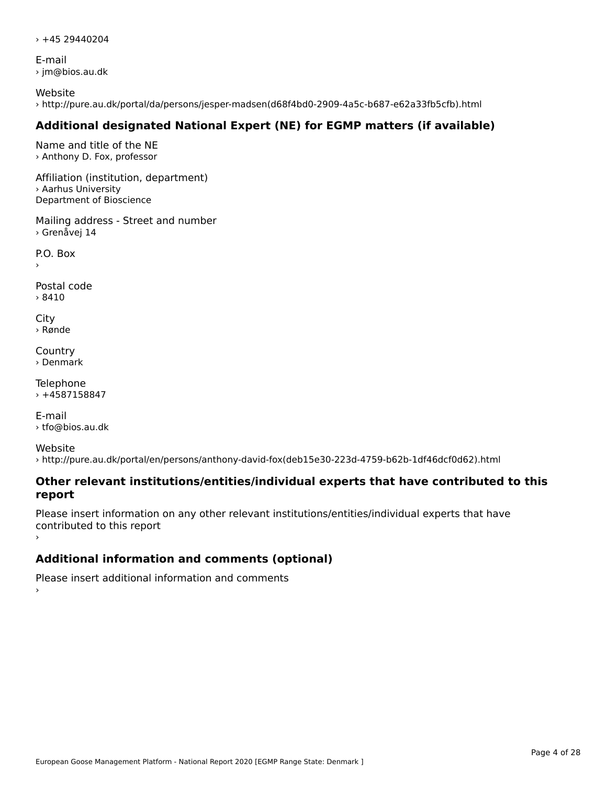$\times$  +45 29440204

E-mail › jm@bios.au.dk

Website › http://pure.au.dk/portal/da/persons/jesper-madsen(d68f4bd0-2909-4a5c-b687-e62a33fb5cfb).html

## **Additional designated National Expert (NE) for EGMP matters (if available)**

Name and title of the NE › Anthony D. Fox, professor

Affiliation (institution, department) › Aarhus University Department of Bioscience

Mailing address - Street and number › Grenåvej 14

P.O. Box

Postal code› 8410

City › Rønde

**Country** › Denmark

Telephone  $+4587158847$ 

E-mail› tfo@bios.au.dk

Website› http://pure.au.dk/portal/en/persons/anthony-david-fox(deb15e30-223d-4759-b62b-1df46dcf0d62).html

#### **Other relevant institutions/entities/individual experts that have contributed to this report**report

Please insert information on any other relevant institutions/entities/individual experts that have contributed to this report

## **Additional information and comments (optional)**

Please insert additional information and comments ›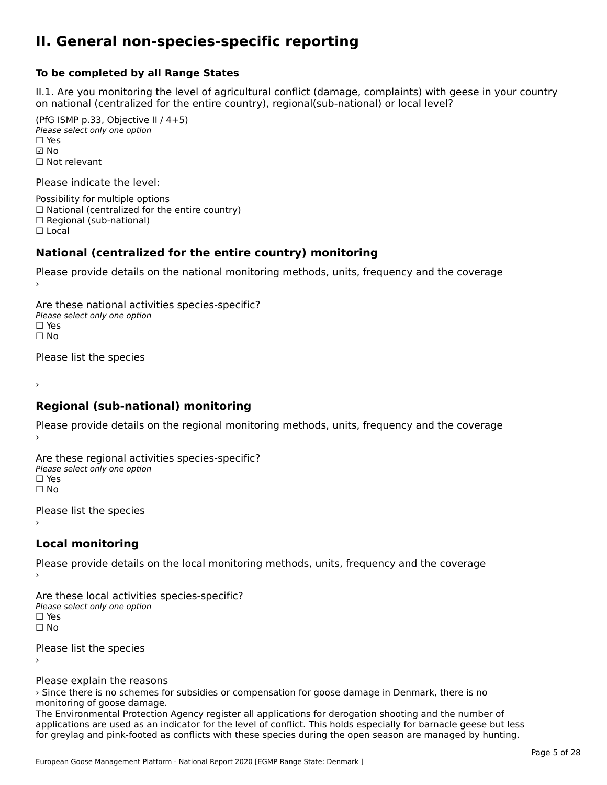#### **II. General non-species-specific reporting**

#### **To be completed by all Range States**

II.1. Are you monitoring the level of agricultural conflict (damage, complaints) with geese in your country n.i. Are you monitoring the lever or agricultural connict (damage, complaints) with g<br>on national (centralized for the entire country), regional(sub-national) or local level?

(PfG ISMP p.33, Objective II  $(4+5)$ ) ∪ ISMIT p.55, Objective<br>Please select only one option ☑ No☐ Not relevant

Please indicate the level:

Possibility for multiple options  $\Box$  National (centralized for the entire country)  $\Box$  Regional (sub-national)

☐ Local

#### **National (centralized for the entire country) monitoring**

Please provide details on the national monitoring methods, units, frequency and the coverage

Are these national activities species-specific? Please select only one optionPlease select only one option<br>□ Yes ים וכ<br>⊡ No

Please list the species

›

#### **Regional (sub-national) monitoring**

Please provide details on the regional monitoring methods, units, frequency and the coverage

Are these regional activities species-specific? ∩ne these regional activ<br>Please select only one option □ Yes<br>□ No

Please list the species ›

#### **Local monitoring**

Please provide details on the local monitoring methods, units, frequency and the coverage

Are these local activities species-specific? Please select only one optionriease<br>□ Yes □ Yes<br>□ No

Please list the species ›

Please explain the reasons

rease explain the reasons<br>> Since there is no schemes for subsidies or compensation for goose damage in Denmark, there is no monitoring of goose damage.

The Environmental Protection Agency register all applications for derogation shooting and the number of applications are used as an indicator for the level of conflict. This holds especially for barnacle geese but less applications are used as an indicator for the level of commet. This holds especially for barnacle geese but les<br>for greylag and pink-footed as conflicts with these species during the open season are managed by hunting.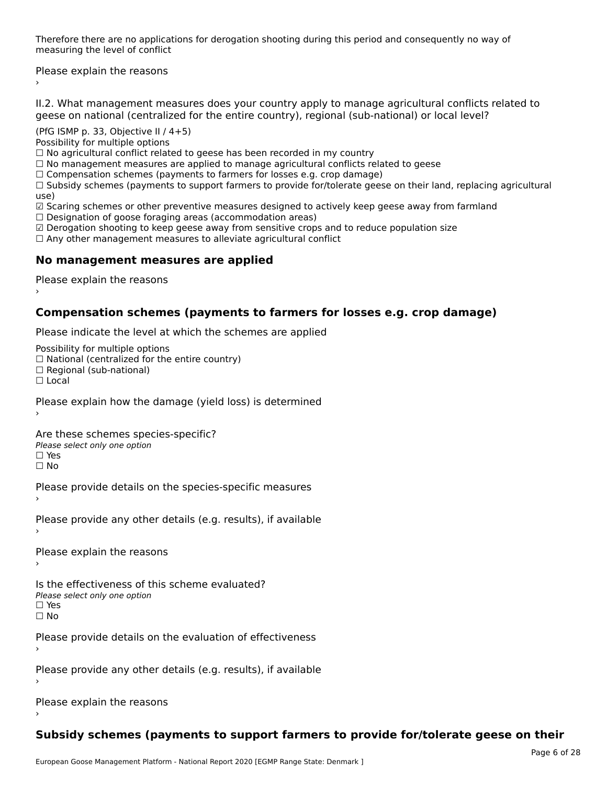Therefore there are no applications for derogation shooting during this period and consequently no way of merefore there are no application.

Please explain the reasons ›

II.2. What management measures does your country apply to manage agricultural conflicts related to

(PfG ISMP p. 33, Objective II / 4+5)

Possibility for multiple options

rossibility for multiple options<br>□ No agricultural conflict related to geese has been recorded in my country

 $\Box$  No management measures are applied to manage agricultural conflicts related to geese

□ No management measures are applied to manage agricultural connicts rela<br>□ Compensation schemes (payments to farmers for losses e.g. crop damage)

 $\Box$  Compensation schemes (payments to farmers for losses e.g. crop damage)<br> $\Box$  Subsidy schemes (payments to support farmers to provide for/tolerate geese on their land, replacing agricultural use)<br>☑ Scaring schemes or other preventive measures designed to actively keep geese away from farmland

⊠ Scaring scrientes of other preventive measures designed to a<br>□ Designation of goose foraging areas (accommodation areas)

☑ Derogation shooting to keep geese away from sensitive crops and to reduce population size

⊠ Derogation shooting to keep geese away nom sensitive crops and<br>□ Any other management measures to alleviate agricultural conflict

### **No management measures are applied**

Please explain the reasons ›

### **Compensation schemes (payments to farmers for losses e.g. crop damage)**

Please indicate the level at which the schemes are applied

Possibility for multiple options

rossibility for multiple options<br>□ National (centralized for the entire country)

□ National (centralized io<br>□ Regional (sub-national)

☐ Local

Please explain how the damage (yield loss) is determined

Are these schemes species-specific?∩ne these senemes spee<br>Please select only one option

□ Yes<br>□ No

Please provide details on the species-specific measures

Please provide any other details (e.g. results), if available

Please explain the reasons

Is the effectiveness of this scheme evaluated? Please select only one option ☐ Yes

☐ No

Please provide details on the evaluation of effectiveness

Please provide any other details (e.g. results), if available

Please explain the reasons

## **Subsidy schemes (payments to support farmers to provide for/tolerate geese on their**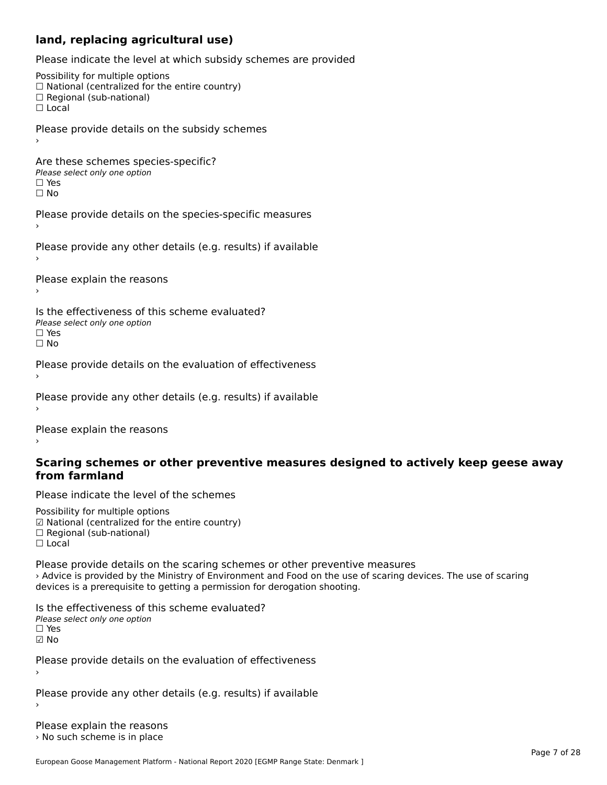#### **land, replacing agricultural use)**

Please indicate the level at which subsidy schemes are provided

Possibility for multiple options ™assibility for multiple options<br>□ National (centralized for the entire country) □ National (centralized io<br>□ Regional (sub-national)  $\Box$  Local Please provide details on the subsidy schemes Are these schemes species-specific?∩ne these senemes spe<br>Please select only one option □ Yes<br>□ No Please provide details on the species-specific measures Please provide any other details (e.g. results) if available Please explain the reasons Is the effectiveness of this scheme evaluated?Please select only one option ☐ Yes☐ NoPlease provide details on the evaluation of effectiveness Please provide any other details (e.g. results) if available

Please explain the reasons

#### **Scaring schemes or other preventive measures designed to actively keep geese away from farmland**

Please indicate the level of the schemes

Possibility for multiple options гозыянку тог mattiple options<br>☑ National (centralized for the entire country)  $\Box$  Regional (sub-national) ☐ Local

Please provide details on the scaring schemes or other preventive measures › Advice is provided by the Ministry of Environment and Food on the use of scaring devices. The use of scaring devices is a prerequisite to getting a permission for derogation shooting.

Is the effectiveness of this scheme evaluated?Please select only one option☐ Yes☑ No

Please provide details on the evaluation of effectiveness

Please provide any other details (e.g. results) if available

Please explain the reasons › No such scheme is in place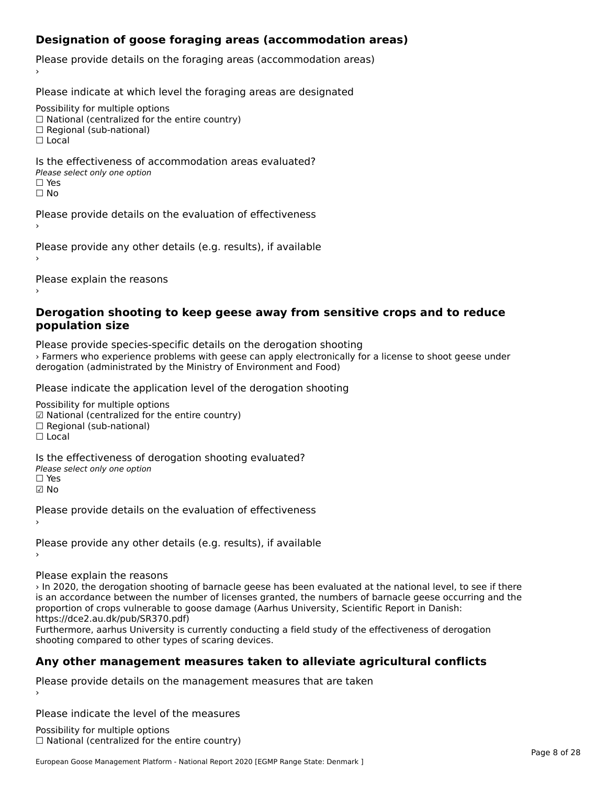## **Designation of goose foraging areas (accommodation areas)**

Please provide details on the foraging areas (accommodation areas)

Please indicate at which level the foraging areas are designated

Possibility for multiple options

rossibility for multiple options<br>□ National (centralized for the entire country)

□ National (centralized io<br>□ Regional (sub-national)

☐ Local

#### Is the effectiveness of accommodation areas evaluated?□ CILCCCCVCIC55 OF 0<br>Please select only one option □ Yes<br>□ No

Please provide details on the evaluation of effectiveness›

Please provide any other details (e.g. results), if available

Please explain the reasons

#### **Derogation shooting to keep geese away from sensitive crops and to reduce population size**

Please provide species-specific details on the derogation shooting › Farmers who experience problems with geese can apply electronically for a license to shoot geese under derogation (administrated by the Ministry of Environment and Food)

Please indicate the application level of the derogation shooting

Possibility for multiple options rossibility for multiple options<br>☑ National (centralized for the entire country)

⊠ National (centranzed io<br>□ Regional (sub-national)

☐ Local

Is the effectiveness of derogation shooting evaluated?

Please select only one option

☐ Yes

☑ No

Please provide details on the evaluation of effectiveness

Please provide any other details (e.g. results), if available

Please explain the reasons

› In 2020, the derogation shooting of barnacle geese has been evaluated at the national level, to see if there In 2020, the delogation shooting of barnacle geese has been evaluated at the national level, to see if there<br>is an accordance between the number of licenses granted, the numbers of barnacle geese occurring and the is an accordance between the number of licenses granted, the numbers of barnacle geese occu<br>proportion of crops vulnerable to goose damage (Aarhus University, Scientific Report in Danish: https://dce2.au.dk/pub/SR370.pdf)

Furthermore, aarhus University is currently conducting a field study of the effectiveness of derogation shooting compared to other types of scaring devices.

## **Any other management measures taken to alleviate agricultural conflicts**

Please provide details on the management measures that are taken

Please indicate the level of the measures

Possibility for multiple options ™assibility for multiple options<br>□ National (centralized for the entire country)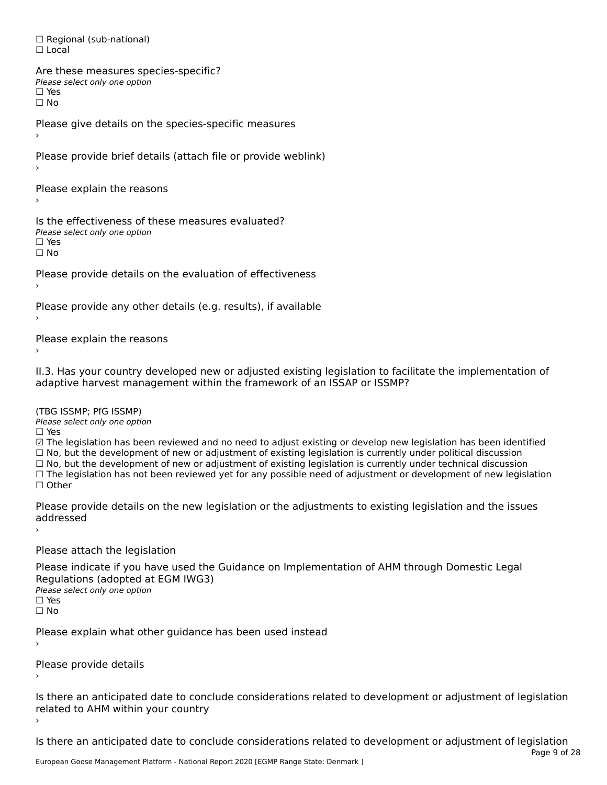□ Regional (sub-national) ☐ Local

Are these measures species-specific? ∩ne enese measures spe<br>Please select only one option □ Yes<br>□ No

Please give details on the species-specific measures

Please provide brief details (attach file or provide weblink)

Please explain the reasons

Is the effectiveness of these measures evaluated?Please select only one option rıease<br>□ Yes ☐ No

Please provide details on the evaluation of effectiveness

Please provide any other details (e.g. results), if available

Please explain the reasons

II.3. Has your country developed new or adjusted existing legislation to facilitate the implementation of

(TBG ISSMP; PfG ISSMP)

Please select only one option

☐ Yes

☑ The legislation has been reviewed and no need to adjust existing or develop new legislation has been identified

⊠ The regislation has been reviewed and no need to adjust existing or develop new regislation has been ident<br>□ No, but the development of new or adjustment of existing legislation is currently under political discussion □ No, but the development of new or adjustment of existing legislation is currently under political discussion<br>□ No, but the development of new or adjustment of existing legislation is currently under technical discussion

□ No, but the development of hew or adjustment of existing regislation is currently under technical discussion<br>□ The legislation has not been reviewed yet for any possible need of adjustment or development of new legislat

Please provide details on the new legislation or the adjustments to existing legislation and the issues addresseduuurcoscu

Please attach the legislation

Please indicate if you have used the Guidance on Implementation of AHM through Domestic Legal **Regardents (dubpled a)**<br>Please select only one option ☐ Yes☐ No

Please explain what other guidance has been used instead

Please provide details

Is there an anticipated date to conclude considerations related to development or adjustment of legislation is there are anticrpated date to control<br>related to AHM within your country

Is there an anticipated date to conclude considerations related to development or adjustment of legislation Page 9 of 28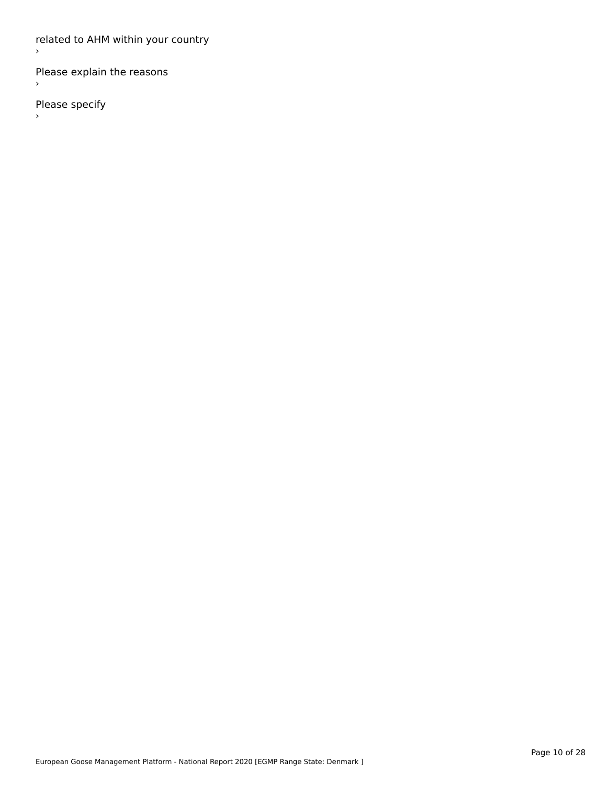related to AHM within your country

Please explain the reasons

Please specify

 $\rightarrow$ 

 $\bar{\phantom{a}}$ 

 $\,$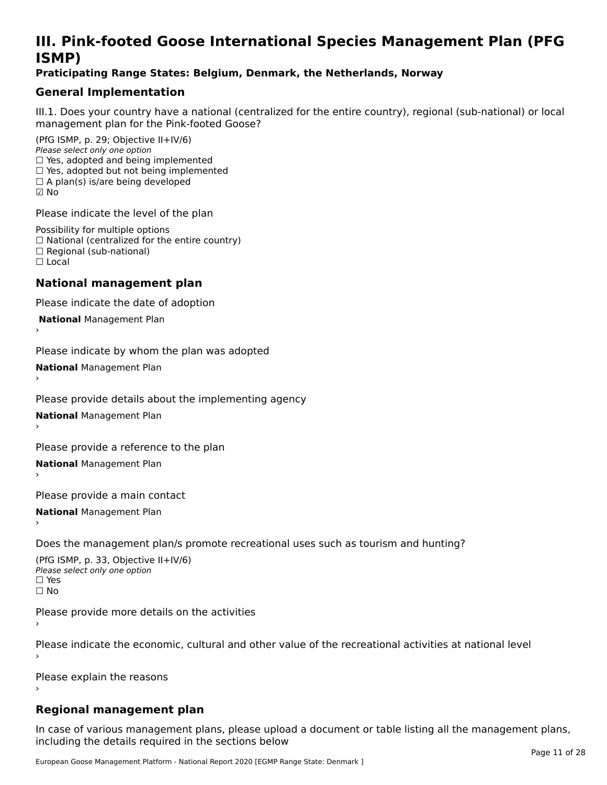## **III. Pink-footed Goose International Species Management Plan (PFG**III. FIIIN-IUULEU GUUSE IIILEI II**atiunai Species Management Fian (FTG**<br>ISMD)

#### **Praticipating Range States: Belgium, Denmark, the Netherlands, Norway**

## **General Implementation**

III.1. Does your country have a national (centralized for the entire country), regional (sub-national) or local

(PfG ISMP, p. 29; Objective II+IV/6) Please select only one option *riease select only one option*<br>□ Yes, adopted and being implemented  $\Box$  res, adopted and being implemented<br> $\Box$  Yes, adopted but not being implemented  $\Box$  A plan(s) is/are being developed ☑ No

Please indicate the level of the plan

Possibility for multiple options rossibility for multiple options<br>□ National (centralized for the entire country) □ National (centralized io<br>□ Regional (sub-national) ☐ Local

#### **National management plan**

Please indicate the date of adoption

 **National** Management Plan

›

Please indicate by whom the plan was adopted

**National** Management Plan ›

Please provide details about the implementing agency

**National** Management Plan ›

Please provide a reference to the plan

**National** Management Plan

Please provide a main contact

**National** Management Plan ›

Does the management plan/s promote recreational uses such as tourism and hunting?

(PfG ISMP, p. 33, Objective II+IV/6) Please select only one optionPlease select only one option  $\square$  Yes ☐ No

Please provide more details on the activities

Please indicate the economic, cultural and other value of the recreational activities at national level

Please explain the reasons

### **Regional management plan**

In case of various management plans, please upload a document or table listing all the management plans, $\frac{1}{2}$  case of various management plans, please uploa including the details required in the sections below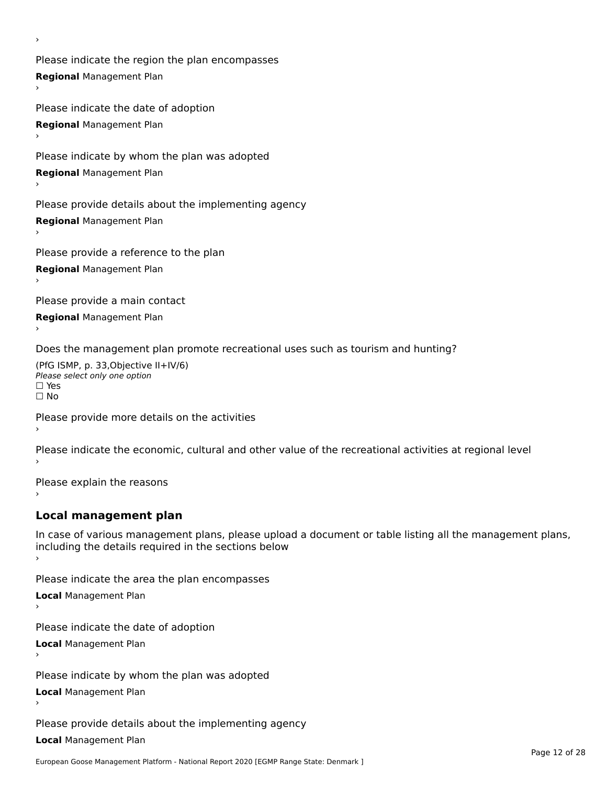Please indicate the region the plan encompasses **Regional** Management Plan

Please indicate the date of adoption **Regional** Management Plan

Please indicate by whom the plan was adopted

**Regional** Management Plan

›

Please provide details about the implementing agency

**Regional** Management Plan

Please provide a reference to the plan

**Regional** Management Plan

Please provide a main contact

**Regional** Management Plan

Does the management plan promote recreational uses such as tourism and hunting?

(PfG ISMP, p. 33,Objective II+IV/6) ∩∩ וויוכו פון<br>Please select only one option<br>□ Yes □ Yes<br>□ No

Please provide more details on the activities

Please indicate the economic, cultural and other value of the recreational activities at regional level

Please explain the reasons ›

### **Local management plan**

In case of various management plans, please upload a document or table listing all the management plans, In case of various management plans, please uploa<br>including the details required in the sections below

Please indicate the area the plan encompasses

**Local** Management Plan

Please indicate the date of adoption

**Local** Management Plan›

Please indicate by whom the plan was adopted

**Local** Management Plan

Please provide details about the implementing agency

**Local** Management Plan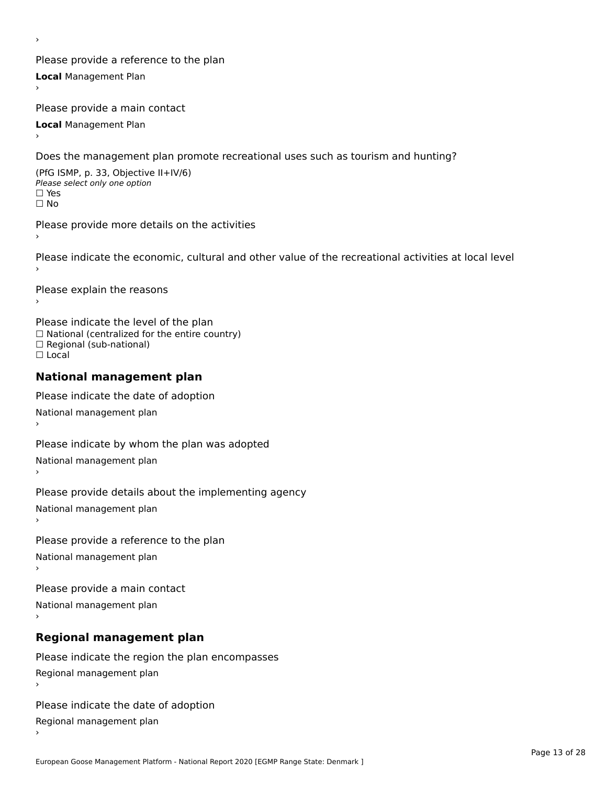Please provide a reference to the plan **Local** Management Plan

Please provide a main contact

**Local** Management Plan

›

Does the management plan promote recreational uses such as tourism and hunting?

(PfG ISMP, p. 33, Objective II+IV/6) Please select only one option☐ Yes☐ No

Please provide more details on the activities

Please indicate the economic, cultural and other value of the recreational activities at local level

Please explain the reasons ›

Please indicate the level of the plan ∩ease marcate the lever of the plan<br>□ National (centralized for the entire country) □ National (centralized io<br>□ Regional (sub-national) ☐ Local

#### **National management plan**

Please indicate the date of adoption National management plan

Please indicate by whom the plan was adopted National management plan ›

Please provide details about the implementing agency

National management plan

Please provide a reference to the plan

National management plan

Please provide a main contact

National management plan

## **Regional management plan**

Please indicate the region the plan encompasses Regional management plan

Please indicate the date of adoption

Regional management plan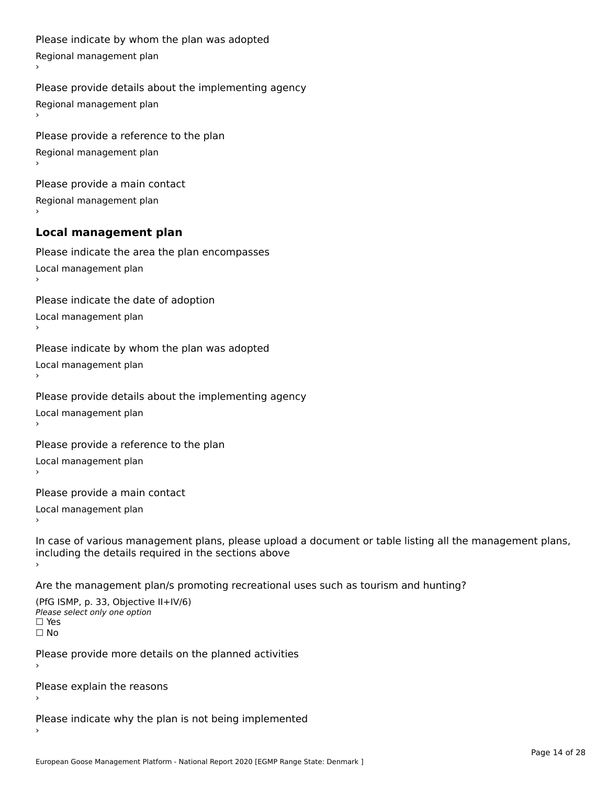```
Please indicate by whom the plan was adopted Regional management plan
Please provide details about the implementing agency Regional management plan
Please provide a reference to the plan Regional management plan
Please provide a main contact Regional management plan
Local management plan
Please indicate the area the plan encompasses Local management plan›Please indicate the date of adoption Local management plan١,
Please indicate by whom the plan was adopted Local management plan›Please provide details about the implementing agency Local management plan١,
Please provide a reference to the plan Local management plan›Please provide a main contact Local management plan١,
In case of various management plans, please upload a document or table listing all the management plans,in case or various management plans, please upload
including the details required in the sections above
```
Are the management plan/s promoting recreational uses such as tourism and hunting?

```
(PfG ISMP, p. 33, Objective II+IV/6)
Please select only one option☐ Yes☐ No
```
Please provide more details on the planned activities

Please explain the reasons›

Please indicate why the plan is not being implemented›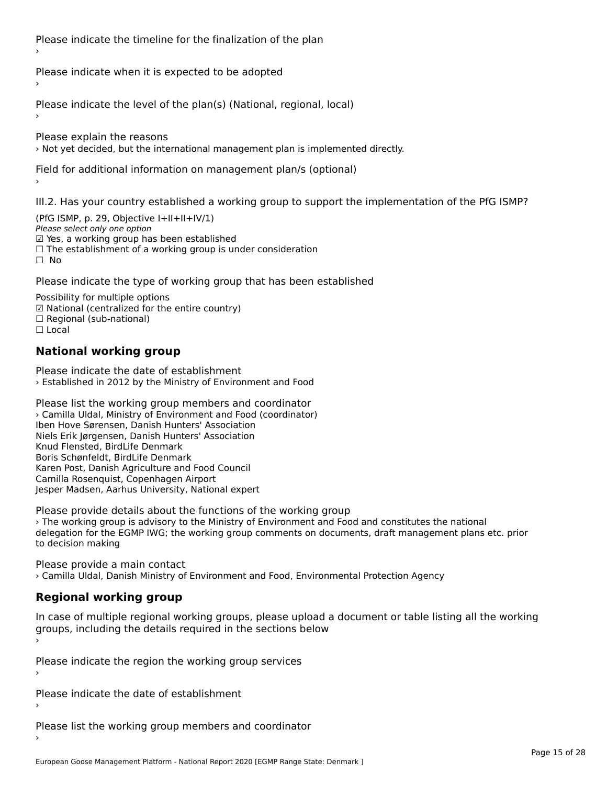Please indicate the timeline for the finalization of the plan

Please indicate when it is expected to be adopted

Please indicate the level of the plan(s) (National, regional, local)

Please explain the reasons › Not yet decided, but the international management plan is implemented directly.

Field for additional information on management plan/s (optional)

III.2. Has your country established a working group to support the implementation of the PfG ISMP?

(PfG ISMP, p. 29, Objective  $I+II+II+IV/1$ ) Please select only one option *riease select omy one option*<br>☑ Yes, a working group has been established □ Tes, a working group has been established<br>□ The establishment of a working group is under consideration

Please indicate the type of working group that has been established

Possibility for multiple options гозымнутог mattiple options<br>☑ National (centralized for the entire country)  $\Box$  Regional (sub-national)  $\Box$  Local

## **National working group**

Please indicate the date of establishment › Established in 2012 by the Ministry of Environment and Food

Please list the working group members and coordinator › Camilla Uldal, Ministry of Environment and Food (coordinator) Iben Hove Sørensen, Danish Hunters' Association Niels Erik Jørgensen, Danish Hunters' Association Knud Flensted, BirdLife Denmark Rhud Flensted, BirdLife Denmark<br>Boris Schønfeldt, BirdLife Denmark Karen Post, Danish Agriculture and Food Council Camilla Rosenquist, Copenhagen Airport Carnina Rosenquist, Copermagen Airport<br>Jesper Madsen, Aarhus University, National expert

Please provide details about the functions of the working group › The working group is advisory to the Ministry of Environment and Food and constitutes the national The working group is advisory to the ministry of Environment and 1000 and constitutes the national<br>delegation for the EGMP IWG; the working group comments on documents, draft management plans etc. prior to decision making

Please provide a main contact › Camilla Uldal, Danish Ministry of Environment and Food, Environmental Protection Agency

## **Regional working group**

In case of multiple regional working groups, please upload a document or table listing all the working groups, including the actums required in the sections below

Please indicate the region the working group services ›

Please indicate the date of establishment ›

Please list the working group members and coordinator ›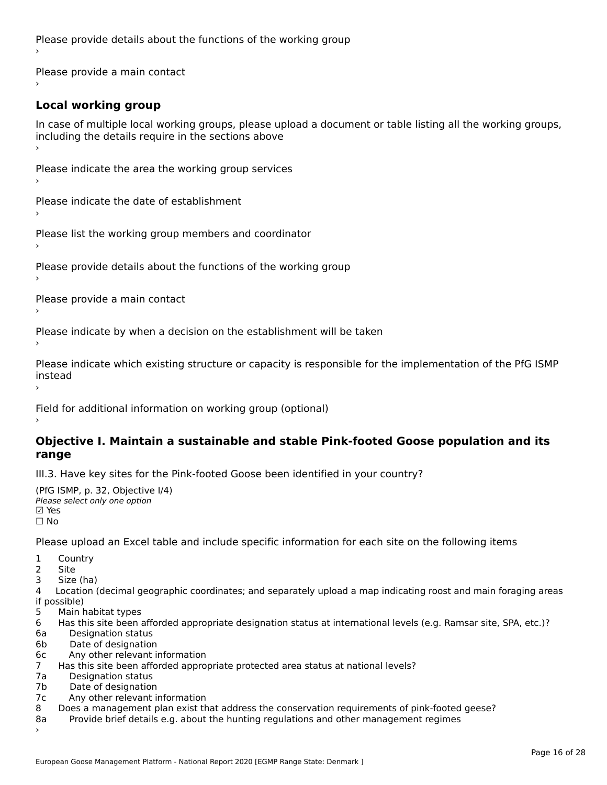Please provide details about the functions of the working group ›

Please provide a main contact ›

## **Local working group**

In case of multiple local working groups, please upload a document or table listing all the working groups, in case of multiple local working groups, please up ›

Please indicate the area the working group services ›

Please indicate the date of establishment ›

Please list the working group members and coordinator ›

Please provide details about the functions of the working group ›

Please provide a main contact ›

Please indicate by when a decision on the establishment will be taken

Please indicate which existing structure or capacity is responsible for the implementation of the PfG ISMP instead

Field for additional information on working group (optional)

#### **Objective I. Maintain a sustainable and stable Pink-footed Goose population and its range**range

III.3. Have key sites for the Pink-footed Goose been identified in your country?

```
(PfG ISMP, p. 32, Objective I/4)
יייכו סיווי, p: אב, Objective<br>Please select only one option
⊠ Yes<br>□ No
```
Please upload an Excel table and include specific information for each site on the following items

1 Country

2 Site

3 Size (ha)

4 Location (decimal geographic coordinates; and separately upload a map indicating roost and main foraging areas 4 Location<br>if possible)

- 5 Main habitat types
- 6 Has this site been afforded appropriate designation status at international levels (e.g. Ramsar site, SPA, etc.)?
- 6a Designation status
- 6b Date of designation
- 6c Any other relevant information
- 7 Has this site been afforded appropriate protected area status at national levels? 7a 11as uns site been and<br>7a - Designation status
- 7a Designation status<br>7b Date of designation
- 
- 7c Any other relevant information
- 8 Does a management plan exist that address the conservation requirements of pink-footed geese? 8a Provide brief details e.g. about the hunting regulations and other management regimes
- Provide brief details e.g. about the hunting regulations and other management regimes 8a<br>>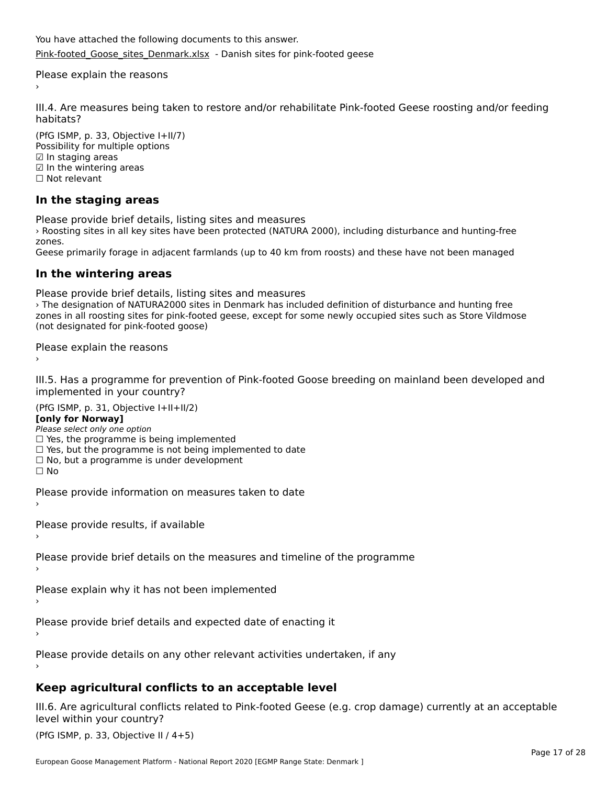You have attached the following documents to this answer. [Pink-footed\\_Goose\\_sites\\_Denmark.xlsx](http://aewa-ort.ort-production.linode.unep-wcmc.org/answers/2656402/documents/1567) - Danish sites for pink-footed geese

Please explain the reasons

III.4. Are measures being taken to restore and/or rehabilitate Pink-footed Geese roosting and/or feeding habitats?

(PfG ISMP, p. 33, Objective I+II/7) Possibility for multiple options rossiomey for mule<br>☑ In staging areas ☑ In the wintering areas☐ Not relevant

## **In the staging areas**

Please provide brief details, listing sites and measures

› Roosting sites in all key sites have been protected (NATURA 2000), including disturbance and hunting-free zones.

Geese primarily forage in adjacent farmlands (up to 40 km from roosts) and these have not been managed

#### **In the wintering areas**

Please provide brief details, listing sites and measures

riedse provide brief details, ill all roosting sites and measures<br>The designation of NATURA2000 sites in Denmark has included definition of disturbance and hunting free zones in an foosting sites for pink-footed geese, except for some newly occupied sites such as store vilumose (not designated for pink-footed goose)

Please explain the reasons

III.5. Has a programme for prevention of Pink-footed Goose breeding on mainland been developed and

(PfG ISMP, p. 31, Objective I+II+II/2)

**[only for Norway]**

**Polly for Norway,**<br>Please select only one option

riease select only one option<br>□ Yes, the programme is being implemented

- □ Tes, the programme is being implemented<br>□ Yes, but the programme is not being implemented to date
- $\Box$  ies, but the programme is not being implement  $\Box$  No, but a programme is under development

☐ No

Please provide information on measures taken to date

Please provide results, if available

Please provide brief details on the measures and timeline of the programme

Please explain why it has not been implemented

Please provide brief details and expected date of enacting it

Please provide details on any other relevant activities undertaken, if any

## **Keep agricultural conflicts to an acceptable level**

III.6. Are agricultural conflicts related to Pink-footed Geese (e.g. crop damage) currently at an acceptable

(PfG ISMP, p. 33, Objective II  $(4+5)$ )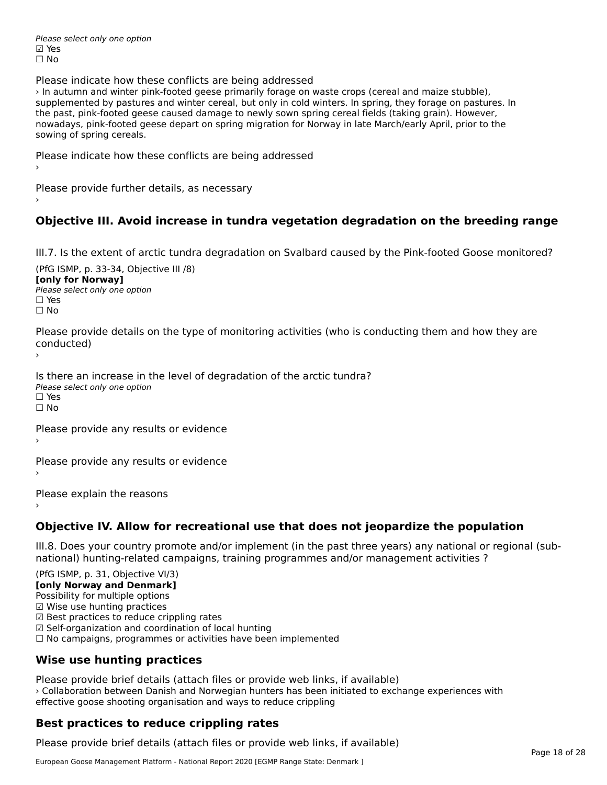Please select only one option ☑ Yes☐ No

Please indicate how these conflicts are being addressed

› In autumn and winter pink-footed geese primarily forage on waste crops (cereal and maize stubble), supplemented by pastures and winter cereal, but only in cold winters. In spring, they forage on pastures. In supplemented by pastures and winter cereal, but only in cold winters. In spring, they lorage on pasture.<br>the past, pink-footed geese caused damage to newly sown spring cereal fields (taking grain). However, the past, pink-footed geese caused damage to newly sown spring cereal helds (taking gram). However,<br>nowadays, pink-footed geese depart on spring migration for Norway in late March/early April, prior to the sowing of spring cereals.

Please indicate how these conflicts are being addressed

Please provide further details, as necessary ›

## **Objective III. Avoid increase in tundra vegetation degradation on the breeding range**

III.7. Is the extent of arctic tundra degradation on Svalbard caused by the Pink-footed Goose monitored?

(PfG ISMP, p. 33-34, Objective III /8) **[only for Norway] Please select only one option** □ Yes<br>□ No

Please provide details on the type of monitoring activities (who is conducting them and how they are riease prov ›

Is there an increase in the level of degradation of the arctic tundra? □ CitCre dir increduce in c<br>Please select only one option ים וכ<br>⊡ No

Please provide any results or evidence

Please provide any results or evidence

Please explain the reasons›

**Objective IV. Allow for recreational use that does not jeopardize the population**

III.8. Does your country promote and/or implement (in the past three years) any national or regional (sub $m.0.168$  your country promove and/or miplement (in the past time years) any national or national) hunting-related campaigns, training programmes and/or management activities ?

(PfG ISMP, p. 31, Objective VI/3)

**[only Norway and Denmark]** Possibility for multiple options

☑ Wise use hunting practices

 $\boxtimes$  Wise use hunting practices

⊠ wise use nunting practices<br>☑ Best practices to reduce crippling rates

☑ Self-organization and coordination of local hunting

⊠ Sen-organization and coordination or local nunting<br>□ No campaigns, programmes or activities have been implemented

### **Wise use hunting practices**

Please provide brief details (attach files or provide web links, if available) › Collaboration between Danish and Norwegian hunters has been initiated to exchange experiences with effective goose shooting organisation and ways to reduce crippling

## **Best practices to reduce crippling rates**

Please provide brief details (attach files or provide web links, if available)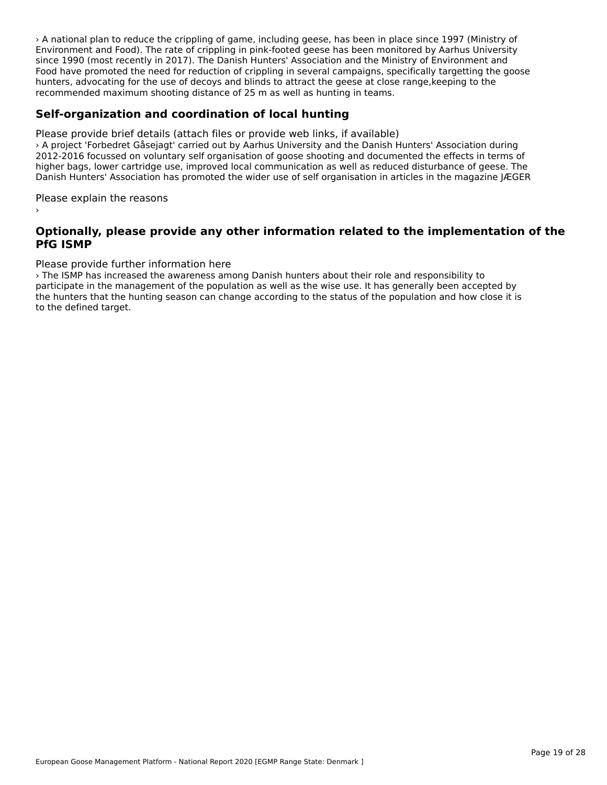› A national plan to reduce the crippling of game, including geese, has been in place since 1997 (Ministry of Environment and Food). The rate of crippling in pink-footed geese has been monitored by Aarhus University since 1990 (most recently in 2017). The Danish Hunters' Association and the Ministry of Environment and since 1990 (most recently in 2017). The Damsh Hunters' Association and the Ministry of Environment and<br>Food have promoted the need for reduction of crippling in several campaigns, specifically targetting the goose rood have promoted the need for reduction of cripping in several campaigns, specifically targetting the<br>hunters, advocating for the use of decoys and blinds to attract the geese at close range,keeping to the recommended maximum shooting distance of 25 m as well as hunting in teams.

### **Self-organization and coordination of local hunting**

Please provide brief details (attach files or provide web links, if available) › A project 'Forbedret Gåsejagt' carried out by Aarhus University and the Danish Hunters' Association during 2 A project Torbeuret Gasejagt Camed out by Admus Oniversity and the Danish Hunters' Association during<br>2012-2016 focussed on voluntary self organisation of goose shooting and documented the effects in terms of higher bags, lower cartridge use, improved local communication as well as reduced disturbance of geese. The nigher bags, lower carthage use, improved local communication as well as reduced disturbance or geese. The<br>Danish Hunters' Association has promoted the wider use of self organisation in articles in the magazine JÆGER

Please explain the reasons

#### **Optionally, please provide any other information related to the implementation of the PfG ISMP**

#### Please provide further information here

› The ISMP has increased the awareness among Danish hunters about their role and responsibility to participate in the management of the population as well as the wise use. It has generally been accepted by participate in the management of the population as wen as the wise use. It has generally been accepted by<br>the hunters that the hunting season can change according to the status of the population and how close it is to the defined target.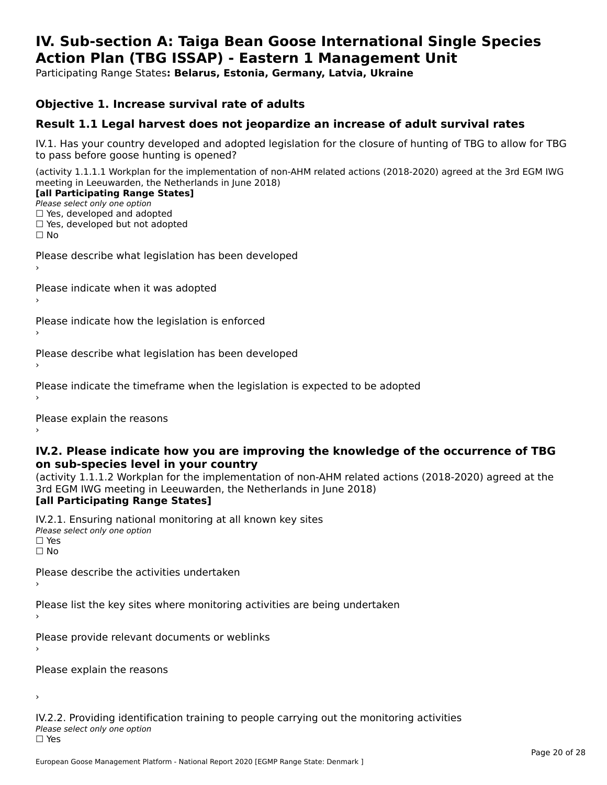#### **IV. Sub-section A: Taiga Bean Goose International Single Species Action Plan (TBG ISSAP) - Eastern 1 Management UnitAction Plan (TBG ISSAP) - Eastern 1 Management Unit**

Participating Range States**: Belarus, Estonia, Germany, Latvia, Ukraine** 

#### **Objective 1. Increase survival rate of adults**

### **Result 1.1 Legal harvest does not jeopardize an increase of adult survival rates**

IV.1. Has your country developed and adopted legislation for the closure of hunting of TBG to allow for TBG IV.1. Thas your country developed and add<br>to pass before goose hunting is opened?

(activity 1.1.1.1 Workplan for the implementation of non-AHM related actions (2018-2020) agreed at the 3rd EGM IWG meeting in Leeuwarden, the Netherlands in June 2018) **[all Participating Range States]**

#### [all Participating Range States]

Please select only one option ☐ Yes, developed and adopted

☐ Yes, developed but not adopted

 $\Box$  ies, developed but not adopted

Please describe what legislation has been developed

Please indicate when it was adopted

Please indicate how the legislation is enforced

Please describe what legislation has been developed

Please indicate the timeframe when the legislation is expected to be adopted

Please explain the reasons

#### **IV.2. Please indicate how you are improving the knowledge of the occurrence of TBG on sub-species level in your country**on sub-species level in your country

on sub-species fever in your country<br>(activity 1.1.1.2 Workplan for the implementation of non-AHM related actions (2018-2020) agreed at the **Brd EGM IWG meeting in Leeuwarden, the Netherlands in June 2018)** 

#### [all Participating Range States]

IV.2.1. Ensuring national monitoring at all known key sites <del>■ Western Chroning</del> Hational<br>Please select only one option  $\square$  Yes ☐ No

Please describe the activities undertaken

Please list the key sites where monitoring activities are being undertaken

Please provide relevant documents or weblinks

Please explain the reasons

›

IV.2.2. Providing identification training to people carrying out the monitoring activities <del>■ Western Fortung</del> Recrement<br>Please select only one option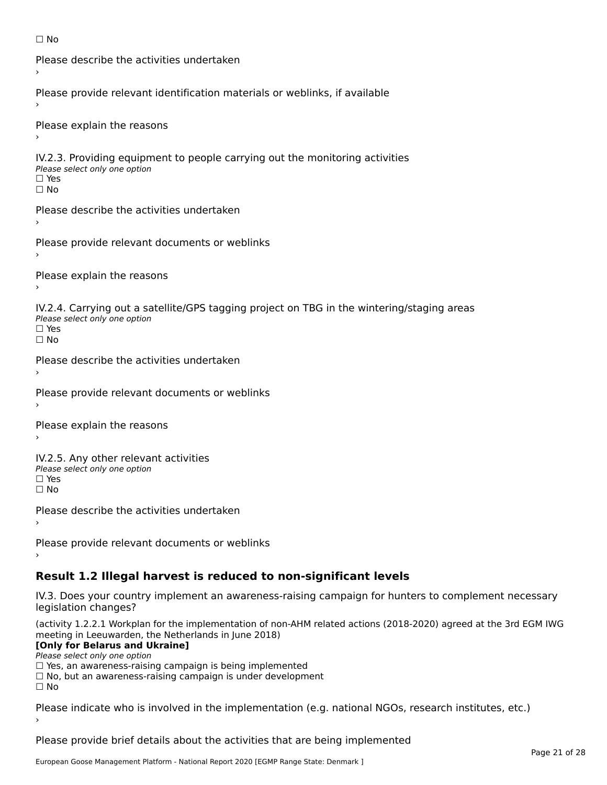```
☐ No
```

```
Please describe the activities undertaken›Please provide relevant identification materials or weblinks, if available
Please explain the reasons
IV.2.3. Providing equipment to people carrying out the monitoring activities
Please select only one option
☐ Yes□ Yes<br>□ No
Please describe the activities undertaken›Please provide relevant documents or weblinks
Please explain the reasons
IV.2.4. Carrying out a satellite/GPS tagging project on TBG in the wintering/staging areas
<del>∩</del><br>Please select only one option
□ Yes<br>□ No
Please describe the activities undertaken›Please provide relevant documents or weblinks
Please explain the reasons
IV.2.5. Any other relevant activities
Please select only one option
☐ Yes□ Yes<br>□ No
Please describe the activities undertaken›Please provide relevant documents or weblinks
Result 1.2 Illegal harvest is reduced to non-significant levels
```
IV.3. Does your country implement an awareness-raising campaign for hunters to complement necessary rv.5. Does your court<br>legislation changes?

(activity 1.2.2.1 Workplan for the implementation of non-AHM related actions (2018-2020) agreed at the 3rd EGM IWG meeting in Leeuwarden, the Netherlands in June 2018)

#### **[Only for Belarus and Ukraine]**

Please select only one option

riease select only one option<br>□ Yes, an awareness-raising campaign is being implemented

□ No, but an awareness-raising campaign is under development<br>□ N。

Please indicate who is involved in the implementation (e.g. national NGOs, research institutes, etc.)

Please provide brief details about the activities that are being implemented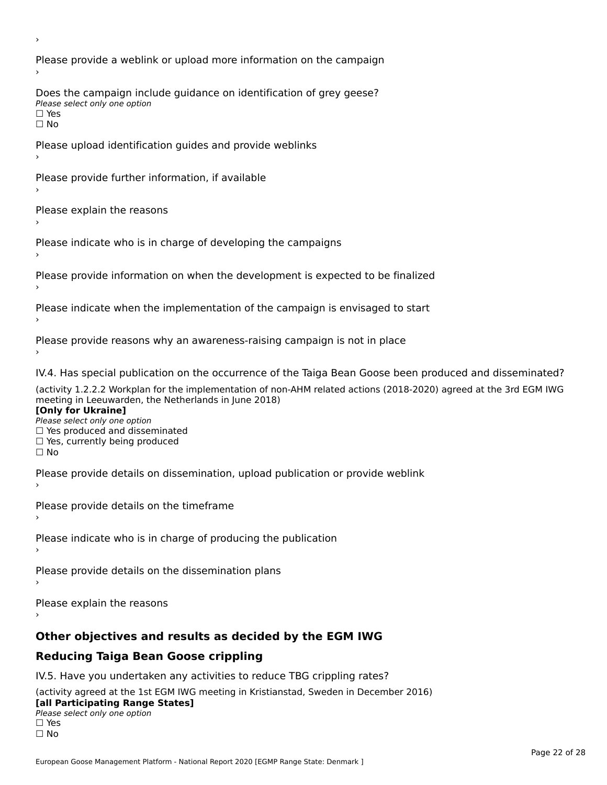Please provide a weblink or upload more information on the campaign Does the campaign include guidance on identification of grey geese? **DOCS** the campaign mer □ Yes<br>□ No Please upload identification guides and provide weblinks Please provide further information, if available Please explain the reasons Please indicate who is in charge of developing the campaigns Please provide information on when the development is expected to be finalized Please indicate when the implementation of the campaign is envisaged to start Please provide reasons why an awareness-raising campaign is not in place IV.4. Has special publication on the occurrence of the Taiga Bean Goose been produced and disseminated? (activity 1.2.2.2 Workplan for the implementation of non-AHM related actions (2018-2020) agreed at the 3rd EGM IWG **[Only for Ukraine] □ Yes produced and disseminated**<br>Please select only one option  $\Box$  ies produced and disseminated  $\Box$  ies, currently being produced Please provide details on dissemination, upload publication or provide weblink Please provide details on the timeframe Please indicate who is in charge of producing the publication Please provide details on the dissemination plans Please explain the reasons **Other objectives and results as decided by the EGM IWG Reducing Taiga Bean Goose crippling** IV.5. Have you undertaken any activities to reduce TBG crippling rates? (activity agreed at the 1st EGM IWG meeting in Kristianstad, Sweden in December 2016)

#### **[all Participating Range States]**[all Participating Range States]

**Law Tarticipating Range**<br>Please select only one option

□ Yes<br>□ No

›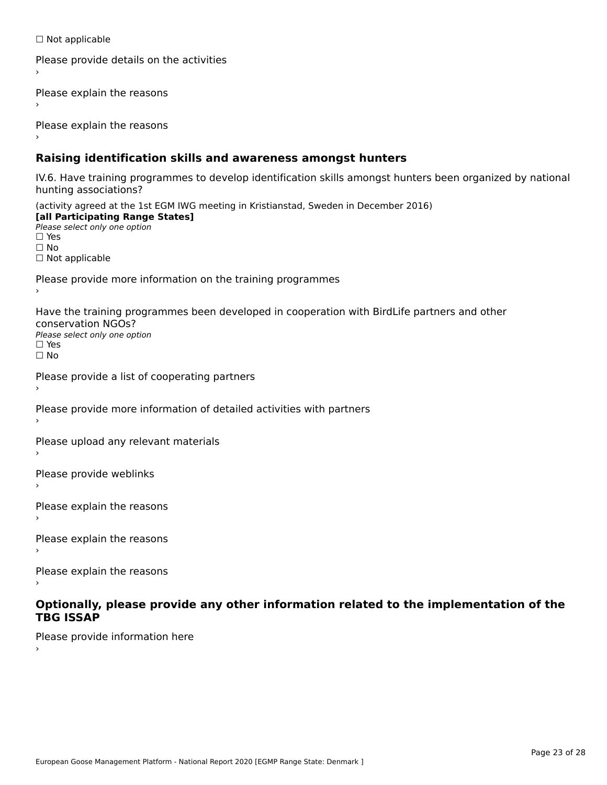☐ Not applicable

```
Please provide details on the activities
```
Please explain the reasons

Please explain the reasons

### **Raising identification skills and awareness amongst hunters**

IV.6. Have training programmes to develop identification skills amongst hunters been organized by national rv.o. riave training pro<br>hunting associations?

(activity agreed at the 1st EGM IWG meeting in Kristianstad, Sweden in December 2016) **[all Participating Range States]**[all Participating Range States] **Lan Tarticipating Range**<br>Please select only one option ☐ Yes☐ No□ Not applicable

Please provide more information on the training programmes

Have the training programmes been developed in cooperation with BirdLife partners and other conservation NGOs?Please select only one option☐ Yes☐ No

```
Please provide a list of cooperating partners
```
Please provide more information of detailed activities with partners

Please upload any relevant materials

Please provide weblinks

Please explain the reasons

Please explain the reasons›

Please explain the reasons

#### **Optionally, please provide any other information related to the implementation of the TBG ISSAPTBG ISSAP**

Please provide information here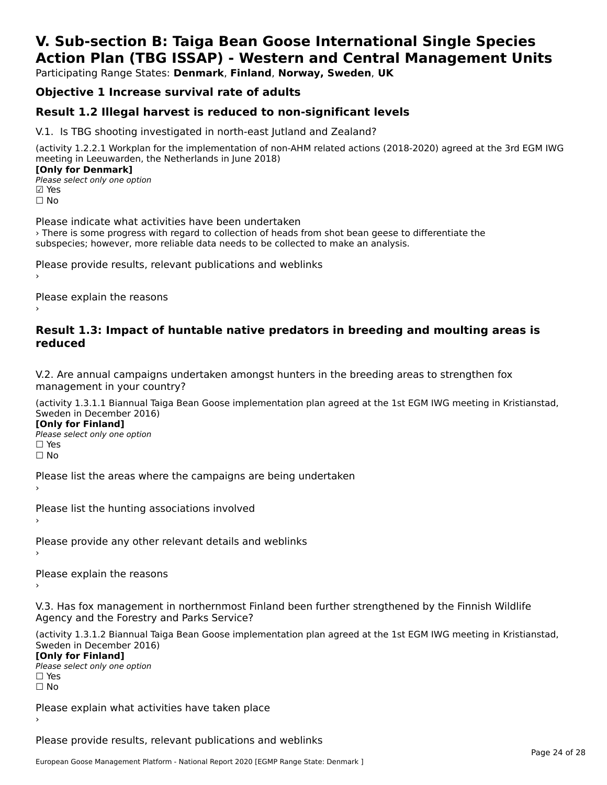## **V. Sub-section B: Taiga Bean Goose International Single SpeciesAction Plan (TBG ISSAP) - Western and Central Management Units**

Participating Range States: **Denmark**, **Finland**, **Norway, Sweden**, **UK**

## **Objective 1 Increase survival rate of adults**

### **Result 1.2 Illegal harvest is reduced to non-significant levels**

V.1. Is TBG shooting investigated in north-east Jutland and Zealand?

(activity 1.2.2.1 Workplan for the implementation of non-AHM related actions (2018-2020) agreed at the 3rd EGM IWG meeting in Leeuwarden, the Netherlands in June 2018) **[Only for Denmark]** 

**Please select only one option ⊡** Yes ☐ No

Please indicate what activities have been undertaken › There is some progress with regard to collection of heads from shot bean geese to differentiate the subspecies; however, more reliable data needs to be collected to make an analysis.

Please provide results, relevant publications and weblinks ›

Please explain the reasons

#### **Result 1.3: Impact of huntable native predators in breeding and moulting areas is reduced**

V.2. Are annual campaigns undertaken amongst hunters in the breeding areas to strengthen fox management in your country?

(activity 1.3.1.1 Biannual Taiga Bean Goose implementation plan agreed at the 1st EGM IWG meeting in Kristianstad, Sweden in December 2016)

**[Only for Finland]**

**Please select only one option** □ Yes<br>□ No

Please list the areas where the campaigns are being undertaken

Please list the hunting associations involved

Please provide any other relevant details and weblinks ›

Please explain the reasons

V.3. Has fox management in northernmost Finland been further strengthened by the Finnish Wildlife Agency and the Forestry and Parks Service?

(activity 1.3.1.2 Biannual Taiga Bean Goose implementation plan agreed at the 1st EGM IWG meeting in Kristianstad, Sweden in December 2016)

**[Only for Finland]**

**Please select only one option** □ Yes<br>□ No

Please explain what activities have taken place

Please provide results, relevant publications and weblinks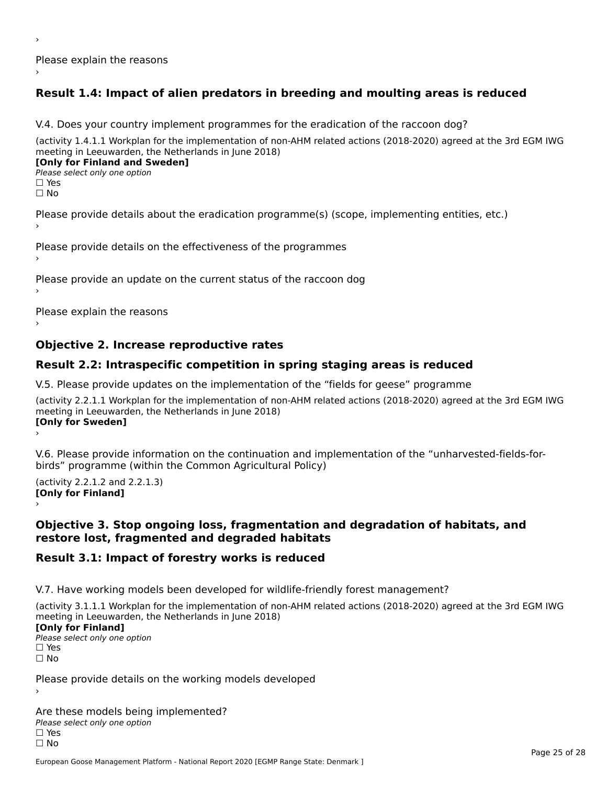Please explain the reasons›

## **Result 1.4: Impact of alien predators in breeding and moulting areas is reduced**

V.4. Does your country implement programmes for the eradication of the raccoon dog?

(activity 1.4.1.1 Workplan for the implementation of non-AHM related actions (2018-2020) agreed at the 3rd EGM IWG meeting in Leeuwarden, the Netherlands in June 2018)

**[Only for Finland and Sweden]**Please select only one optionriease<br>□ Yes □ Yes<br>□ No

›

Please provide details about the eradication programme(s) (scope, implementing entities, etc.)

Please provide details on the effectiveness of the programmes

Please provide an update on the current status of the raccoon dog

Please explain the reasons

### **Objective 2. Increase reproductive rates**

### **Result 2.2: Intraspecific competition in spring staging areas is reduced**

V.5. Please provide updates on the implementation of the "fields for geese" programme

(activity 2.2.1.1 Workplan for the implementation of non-AHM related actions (2018-2020) agreed at the 3rd EGM IWG meeting in Leeuwarden, the Netherlands in June 2018) **[Only for Sweden]** ›

V.6. Please provide information on the continuation and implementation of the "unharvested-fields-forbirds" programme (within the Common Agricultural Policy)

 $($ activity 2.2.1.2 and 2.2.1.3) **[Only for Finland]**lomy for Finland]

#### **Objective 3. Stop ongoing loss, fragmentation and degradation of habitats, and restore lost, fragmented and degraded habitats**restore lost, fragmented and degraded habitats

## **Result 3.1: Impact of forestry works is reduced**

V.7. Have working models been developed for wildlife-friendly forest management?

(activity 3.1.1.1 Workplan for the implementation of non-AHM related actions (2018-2020) agreed at the 3rd EGM IWG meeting in Leeuwarden, the Netherlands in June 2018) [Only for Finland]

**□ Please select only one option** □ Yes<br>□ No

Please provide details on the working models developed

Are these models being implemented? Please select only one option☐ Yes☐ No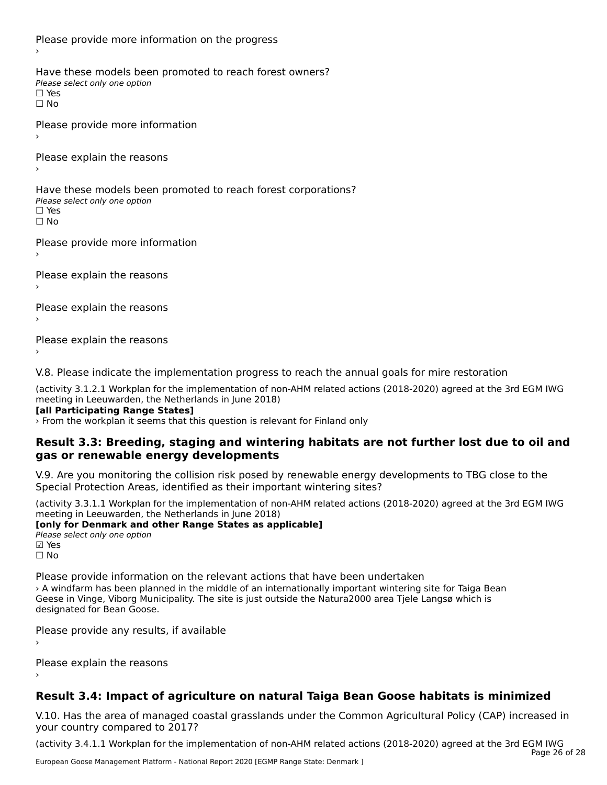Please provide more information on the progress Have these models been promoted to reach forest owners? ∩ave these models bee<br>Please select only one option □ Yes<br>□ No Please provide more information Please explain the reasons ›Have these models been promoted to reach forest corporations? ∩ave these models bee<br>Please select only one option □ Yes<br>□ No Please provide more information Please explain the reasons ›

Please explain the reasons

Please explain the reasons›

V.8. Please indicate the implementation progress to reach the annual goals for mire restoration

(activity 3.1.2.1 Workplan for the implementation of non-AHM related actions (2018-2020) agreed at the 3rd EGM IWG meeting in Leeuwarden, the Netherlands in June 2018) **[all Participating Range States]**

[all Participating Range States]

› From the workplan it seems that this question is relevant for Finland only

#### **Result 3.3: Breeding, staging and wintering habitats are not further lost due to oil and gas or renewable energy developments**gas or renewable energy developments

V.9. Are you monitoring the collision risk posed by renewable energy developments to TBG close to the Special Protection Areas, identified as their important wintering sites?

(activity 3.3.1.1 Workplan for the implementation of non-AHM related actions (2018-2020) agreed at the 3rd EGM IWG meeting in Leeuwarden, the Netherlands in June 2018)

#### **[only for Denmark and other Range States as applicable]**

**Please select only one option** ⊠ Yes<br>□ No

Please provide information on the relevant actions that have been undertaken A windfarm has been planned in the middle of an internationally important wintering site for Taiga Bean<br>A windfarm has been planned in the middle of an internationally important wintering site for Taiga Bean designation of the beat designation of the state is just outside the Naturazooo area Tjele Langs which is designated for Bean Goose.

Please provide any results, if available

Please explain the reasons

### **Result 3.4: Impact of agriculture on natural Taiga Bean Goose habitats is minimized**

V.10. Has the area of managed coastal grasslands under the Common Agricultural Policy (CAP) increased in your country compared to 2017?

(activity 3.4.1.1 Workplan for the implementation of non-AHM related actions (2018-2020) agreed at the 3rd EGM IWG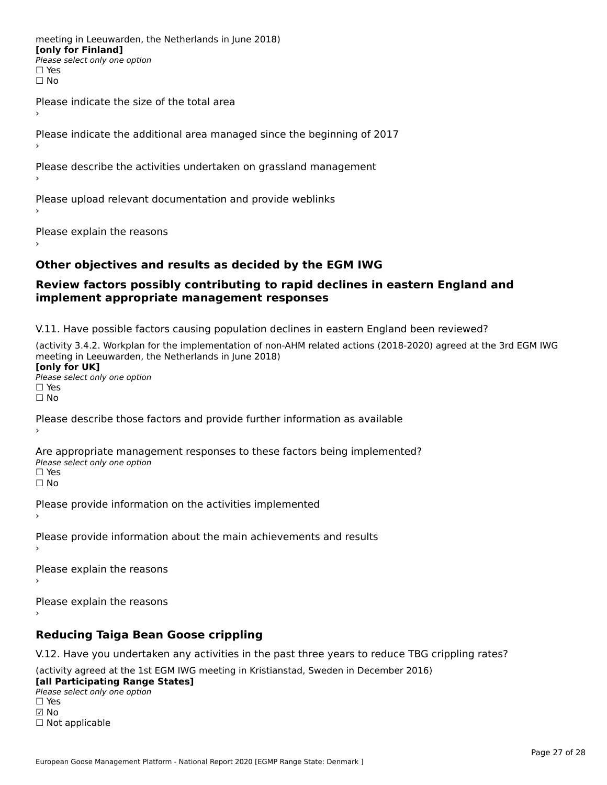meeting in Leeuwarden, the Netherlands in June 2018) **[only for Finland] □ Please select only one option** □ Yes<br>□ No

Please indicate the size of the total area›

Please indicate the additional area managed since the beginning of 2017

Please describe the activities undertaken on grassland management

Please upload relevant documentation and provide weblinks

Please explain the reasons

#### **Other objectives and results as decided by the EGM IWG**

#### **Review factors possibly contributing to rapid declines in eastern England and implement appropriate management responses**implement appropriate management responses

V.11. Have possible factors causing population declines in eastern England been reviewed?

(activity 3.4.2. Workplan for the implementation of non-AHM related actions (2018-2020) agreed at the 3rd EGM IWG meeting in Leeuwarden, the Netherlands in June 2018) **[only for UK]**

**Please select only one option<br>Please select only one option** □ Yes<br>□ No

Please describe those factors and provide further information as available

Are appropriate management responses to these factors being implemented? ne appropriace manage.<br>Please select only one option □ Yes<br>□ No

Please provide information on the activities implemented

Please provide information about the main achievements and results

Please explain the reasons

Please explain the reasons›

### **Reducing Taiga Bean Goose crippling**

V.12. Have you undertaken any activities in the past three years to reduce TBG crippling rates?

(activity agreed at the 1st EGM IWG meeting in Kristianstad, Sweden in December 2016)

**[all Participating Range States] Lan Farticipating Range**<br>Please select only one option ☐ Yes☑ No☐ Not applicable